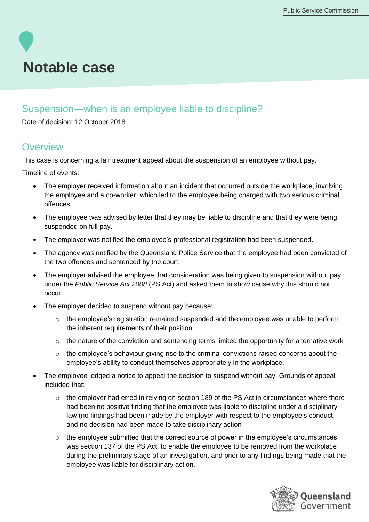# **Notable case**

### Suspension—when is an employee liable to discipline?

Date of decision: 12 October 2018

#### **Overview**

This case is concerning a fair treatment appeal about the suspension of an employee without pay.

Timeline of events:

- The employer received information about an incident that occurred outside the workplace, involving the employee and a co-worker, which led to the employee being charged with two serious criminal offences.
- The employee was advised by letter that they may be liable to discipline and that they were being suspended on full pay.
- The employer was notified the employee's professional registration had been suspended.
- The agency was notified by the Queensland Police Service that the employee had been convicted of the two offences and sentenced by the court.
- The employer advised the employee that consideration was being given to suspension without pay under the *Public Service Act 2008* (PS Act) and asked them to show cause why this should not occur.
- The employer decided to suspend without pay because:
	- o the employee's registration remained suspended and the employee was unable to perform the inherent requirements of their position
	- $\circ$  the nature of the conviction and sentencing terms limited the opportunity for alternative work
	- o the employee's behaviour giving rise to the criminal convictions raised concerns about the employee's ability to conduct themselves appropriately in the workplace.
- The employee lodged a notice to appeal the decision to suspend without pay. Grounds of appeal included that:
	- $\circ$  the employer had erred in relying on section 189 of the PS Act in circumstances where there had been no positive finding that the employee was liable to discipline under a disciplinary law (no findings had been made by the employer with respect to the employee's conduct, and no decision had been made to take disciplinary action
	- o the employee submitted that the correct source of power in the employee's circumstances was section 137 of the PS Act, to enable the employee to be removed from the workplace during the preliminary stage of an investigation, and prior to any findings being made that the employee was liable for disciplinary action.